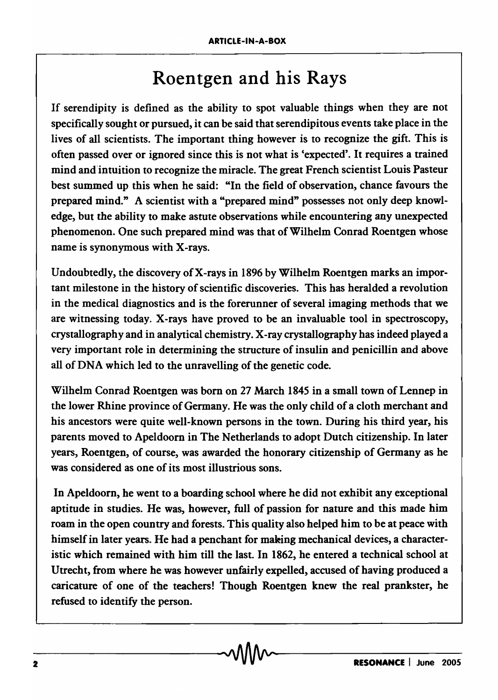## Roentgen and his Rays

If serendipity is defined as the ability to spot valuable things when they are not specifically sought or pursued, it can be said that serendipitous events take place in the lives of all scientists. The important thing however is to recognize the gift. This is often passed over or ignored since this is not what is 'expected'. It requires a trained mind and 'intuition to recognize the miracle. The great French scientist Louis Pasteur best summed up this when he said: "In the field of observation, chance favours the prepared mind." A scientist with a "prepared mind" possesses not only deep knowledge, but the ability to make astute observations while encountering any unexpected phenomenon. One such prepared mind was that of Wilhelm Conrad Roentgen whose name is synonymous with X-rays.

Undoubtedly, the discovery of X-rays in 1896 by Wilhelm Roentgen marks an important milestone in the history of scientific discoveries. This has heralded a revolution in the medical diagnostics and is the forerunner of several imaging methods that we are witnessing today. X-rays have proved to be an invaluable tool in spectroscopy, crystallography and in analytical chemistry. X-ray crystallography has indeed played a very important role in determining the structure of insulin and penicillin and above all of DNA which led to the unravelling of the genetic code.

Wilhelm Conrad Roentgen was born on 27 March 1845 in a small town of Lennep in the lower Rhine province of Germany. He was the only child of a cloth merchant and his ancestors were quite well-known persons in the town. During his third year, his parents moved to Apeldoom in The Netherlands to adopt Dutch citizenship. In later years, Roentgen, of course, was awarded the honorary citizenship of Germany as he was considered as one of its most illustrious sons.

In Apeldoom, he went to a boarding school where he did not exhibit any exceptional aptitude in studies. He was, however, full of passion for nature and this made him roam in the open country and forests. This quality also helped him to be at peace with himself in later years. He had a penchant for making mechanical devices, a characteristic which remained with him till the last. In 1862, he entered a technical school at Utrecht, from where he was however unfairly expelled, accused of having produced a caricature of one of the teachers! Though Roentgen knew the real prankster, he refused to identify the person.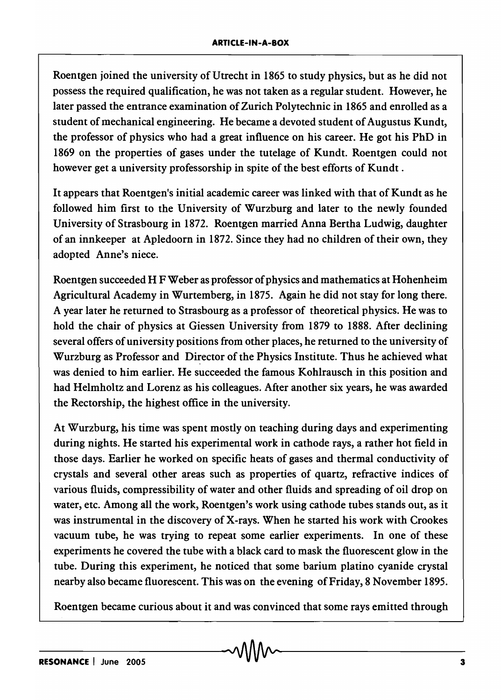Roentgen joined the university of Utrecht in 1865 to study physics, but as he did not possess the required qualification, he was not taken as a regular student. However, he later passed the entrance examination of Zurich Polytechnic in 1865 and enrolled as a student of mechanical engineering. He became a devoted student of Augustus Kundt, the professor of physics who had a great influence on his career. He got his PhD in 1869 on the properties of gases under the tutelage of Kundt. Roentgen could not however get a university professorship in spite of the best efforts of Kundt .

It appears that Roentgen's initial academic career was linked with that of Kundt as he followed him first to the University of Wurzburg and later to the newly founded University of Strasbourg in 1872. Roentgen married Anna Bertha Ludwig, daughter of an innkeeper at Apledoorn in 1872. Since they had no children of their own, they adopted Anne's niece.

Roentgen succeeded H F Weber as professor of physics and mathematics at Hohenheim Agricultural Academy in Wurtemberg, in 1875. Again he did not stay for long there. A year later he returned to Strasbourg as a professor of theoretical physics. He was to hold the chair of physics at Giessen University from 1879 to 1888. After declining several offers of university positions from other places, he returned to the university of Wurzburg as Professor and Director of the Physics Institute. Thus he achieved what was denied to him earlier. He succeeded the famous Kohlrausch in this position and had Helmholtz and Lorenz as his colleagues. After another six years, he was awarded the Rectorship, the highest office in the university.

At Wurzburg, his time was spent mostly on teaching during days and experimenting during nights. He started his experimental work in cathode rays, a rather hot field in those days. Earlier he worked on specific heats of gases and thermal conductivity of crystals and several other areas such as properties of quartz, refractive indices of various fluids, compressibility of water and other fluids and spreading of oil drop on water, etc. Among all the work, Roentgen's work using cathode tubes stands out, as it was instrumental in the discovery of X-rays. When he started his work with Crookes vacuum tube, he was trying to repeat some earlier experiments. In one of these experiments he covered the tube with a black card to mask the fluorescent glow in the tube. During this experiment, he noticed that some barium platino cyanide crystal nearby also became fluorescent. This was on the evening of Friday, 8 November 1895.

Roentgen became curious about it and was convinced that some rays emitted through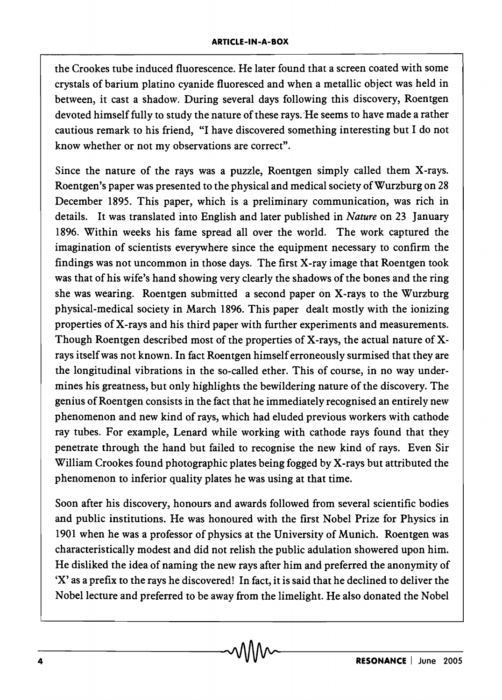the Crookes tube induced fluorescence. He later found that a screen coated with some crystals of barium platino cyanide fluoresced and when a metallic object was held in between, it cast a shadow. During several days following this discovery, Roentgen devoted himself fully to study the nature of these rays. 'He seems to have made a rather cautious remark to his friend, "I have discovered something interesting but I do not know whether or not my observations are correct".

Since the nature of the rays was a puzzle, Roentgen simply called them X-rays. Roentgen's paper was presented to the physical and medical society of Wurzburg on 28 December 1895. This paper, which is a preliminary communication, was rich in details. It was translated into English and later published in *Nature* on 23 January 1896. Within weeks his fame spread all over the world. The work captured the imagination of scientists everywhere since the equipment necessary to confirm the findings was not uncommon in those days. The first X-ray image that Roentgen took was that of his wife's hand showing very clearly the shadows of the bones and the ring she was wearing. Roentgen submitted a second paper on X-rays to the Wurzburg physical-medical society in March 1896. This paper dealt mostly with the ionizing properties of X-rays and his third paper with further experiments and measurements. Though Roentgen described most of the properties of X-rays, the actual nature of Xrays itself was not known. In fact Roentgen himself erroneously surmised that they are the longitudinal vibrations in the so-called ether. This of course, in no way undermines his greatness, but only highlights the bewildering nature of the discovery. The genius of Roentgen consists in the fact that he immediately recognised an entirely new phenomenon and new kind of rays, which had eluded previous workers with cathode ray tubes. For example, Lenard while working with cathode rays found that they penetrate through the hand but failed to recognise the new kind of rays. Even Sir William Crookes found photographic plates being fogged by X-rays but attributed the phenomenon to inferior quality plates he was using at that time.

Soon after his discovery, honours and awards followed from several scientific bodies and public institutions. He was honoured with the first Nobel Prize for Physics in 1901 when he was a professor of physics at the University of Munich. Roentgen was characteristically modest and did not relish the public adulation showered upon him. He disliked the idea of naming the new rays after him and preferred the anonymity of 'X' as a prefix to the rays he discovered! In fact, it is said that he declined to deliver the Nobel lecture and preferred to be away from the limelight. He also donated the Nobel